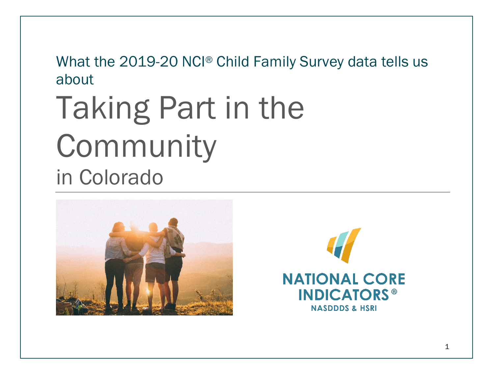What the 2019-20 NCI® Child Family Survey data tells us about

## Taking Part in the Community in Colorado



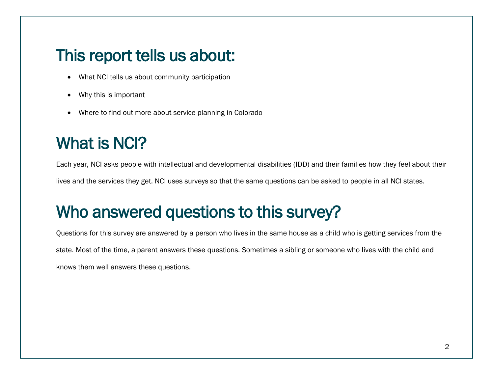#### This report tells us about:

- What NCI tells us about community participation
- Why this is important
- Where to find out more about service planning in Colorado

### What is NCI?

Each year, NCI asks people with intellectual and developmental disabilities (IDD) and their families how they feel about their lives and the services they get. NCI uses surveys so that the same questions can be asked to people in all NCI states.

### Who answered questions to this survey?

Questions for this survey are answered by a person who lives in the same house as a child who is getting services from the state. Most of the time, a parent answers these questions. Sometimes a sibling or someone who lives with the child and knows them well answers these questions.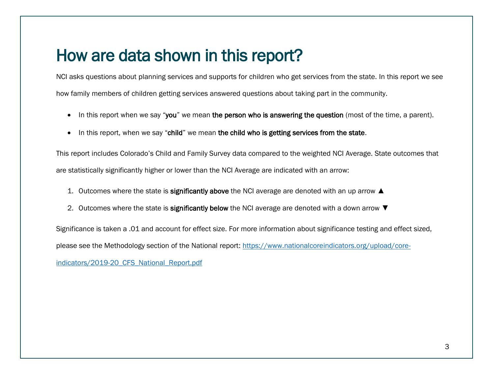#### How are data shown in this report?

NCI asks questions about planning services and supports for children who get services from the state. In this report we see how family members of children getting services answered questions about taking part in the community.

- In this report when we say "you" we mean the person who is answering the question (most of the time, a parent).
- In this report, when we say "child" we mean the child who is getting services from the state.

This report includes Colorado's Child and Family Survey data compared to the weighted NCI Average. State outcomes that are statistically significantly higher or lower than the NCI Average are indicated with an arrow:

- 1. Outcomes where the state is significantly above the NCI average are denoted with an up arrow ▲
- 2. Outcomes where the state is significantly below the NCI average are denoted with a down arrow ▼

Significance is taken a .01 and account for effect size. For more information about significance testing and effect sized, please see the Methodology section of the National report: [https://www.nationalcoreindicators.org/upload/core-](https://www.nationalcoreindicators.org/upload/core-indicators/2019-20_CFS_National_Report.pdf)

indicators/2019-20 CFS National Report.pdf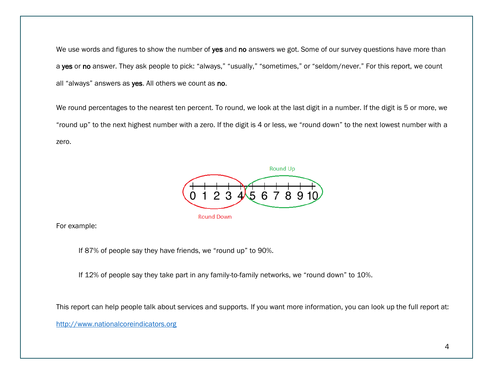We use words and figures to show the number of yes and no answers we got. Some of our survey questions have more than a yes or no answer. They ask people to pick: "always," "usually," "sometimes," or "seldom/never." For this report, we count all "always" answers as yes. All others we count as no.

We round percentages to the nearest ten percent. To round, we look at the last digit in a number. If the digit is 5 or more, we "round up" to the next highest number with a zero. If the digit is 4 or less, we "round down" to the next lowest number with a zero.



For example:

If 87% of people say they have friends, we "round up" to 90%.

If 12% of people say they take part in any family-to-family networks, we "round down" to 10%.

This report can help people talk about services and supports. If you want more information, you can look up the full report at:

[http://www.nationalcoreindicators.org](http://www.nationalcoreindicators.org/)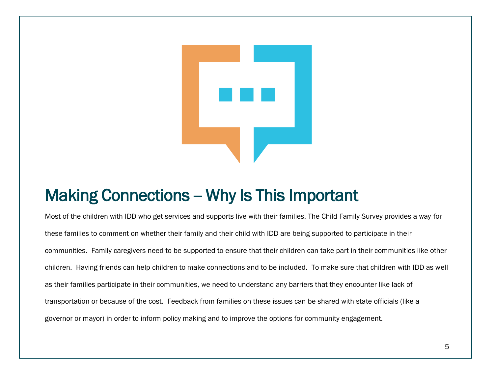

#### Making Connections - Why Is This Important

Most of the children with IDD who get services and supports live with their families. The Child Family Survey provides a way for these families to comment on whether their family and their child with IDD are being supported to participate in their communities. Family caregivers need to be supported to ensure that their children can take part in their communities like other children. Having friends can help children to make connections and to be included. To make sure that children with IDD as well as their families participate in their communities, we need to understand any barriers that they encounter like lack of transportation or because of the cost. Feedback from families on these issues can be shared with state officials (like a governor or mayor) in order to inform policy making and to improve the options for community engagement.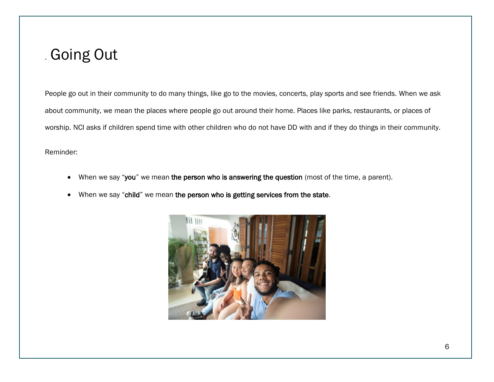#### . Going Out

People go out in their community to do many things, like go to the movies, concerts, play sports and see friends. When we ask about community, we mean the places where people go out around their home. Places like parks, restaurants, or places of worship. NCI asks if children spend time with other children who do not have DD with and if they do things in their community.

Reminder:

- When we say "you" we mean the person who is answering the question (most of the time, a parent).
- When we say "child" we mean the person who is getting services from the state.

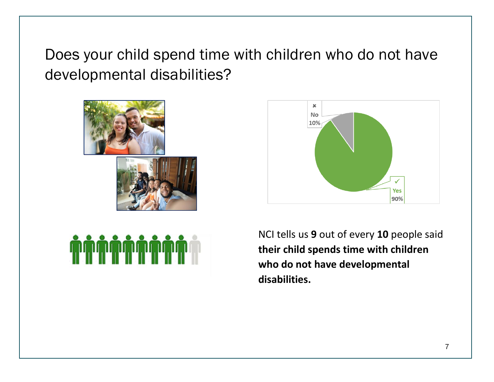Does your child spend time with children who do not have developmental disabilities?





NCI tells us **9** out of every **10** people said **their child spends time with children who do not have developmental disabilities.**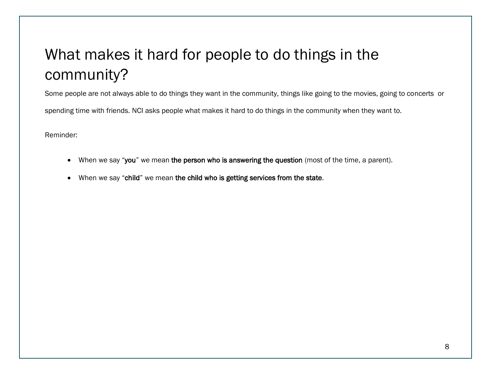#### What makes it hard for people to do things in the community?

Some people are not always able to do things they want in the community, things like going to the movies, going to concerts or

spending time with friends. NCI asks people what makes it hard to do things in the community when they want to.

Reminder:

- When we say "you" we mean the person who is answering the question (most of the time, a parent).
- When we say "child" we mean the child who is getting services from the state.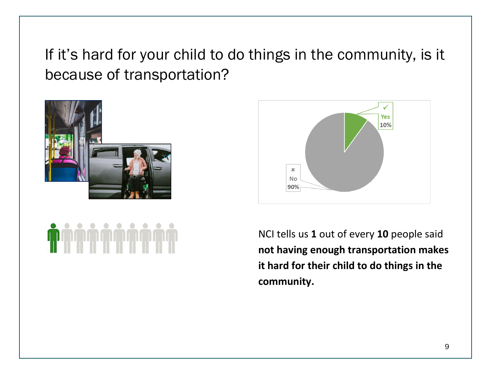If it's hard for your child to do things in the community, is it because of transportation?





NCI tells us **1** out of every **10** people said **not having enough transportation makes it hard for their child to do things in the community.**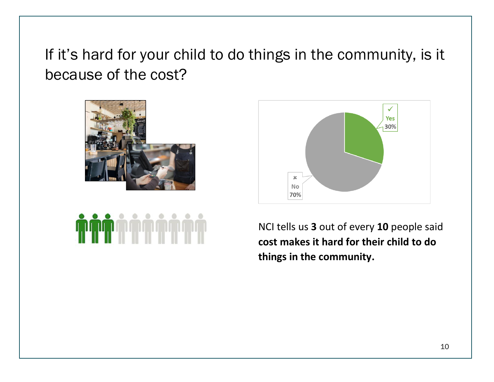If it's hard for your child to do things in the community, is it because of the cost?







NCI tells us **3** out of every **10** people said **cost makes it hard for their child to do things in the community.**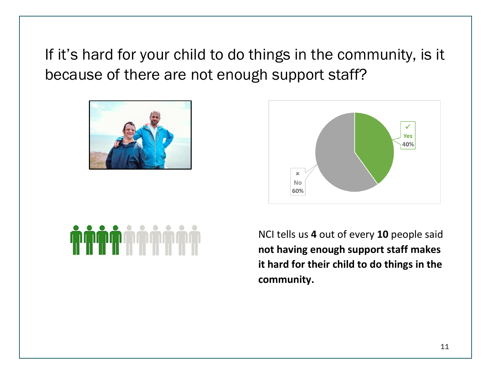If it's hard for your child to do things in the community, is it because of there are not enough support staff?





NCI tells us **4** out of every **10** people said **not having enough support staff makes it hard for their child to do things in the community.**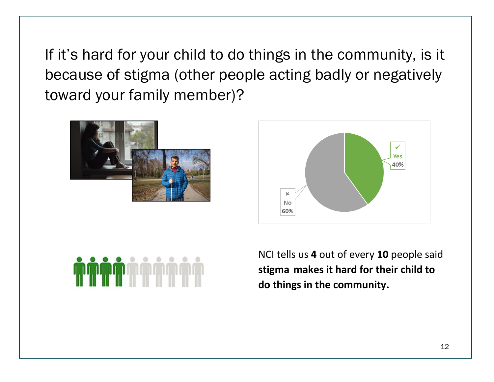If it's hard for your child to do things in the community, is it because of stigma (other people acting badly or negatively toward your family member)?







NCI tells us **4** out of every **10** people said **stigma makes it hard for their child to do things in the community.**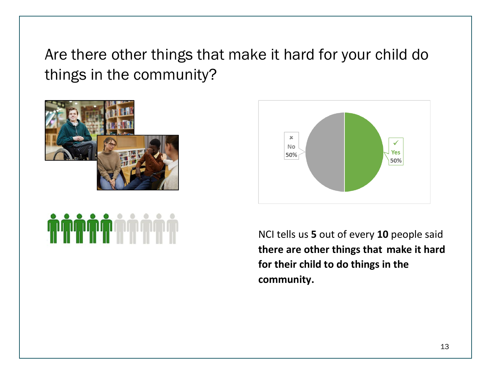Are there other things that make it hard for your child do things in the community?







NCI tells us **5** out of every **10** people said **there are other things that make it hard for their child to do things in the community.**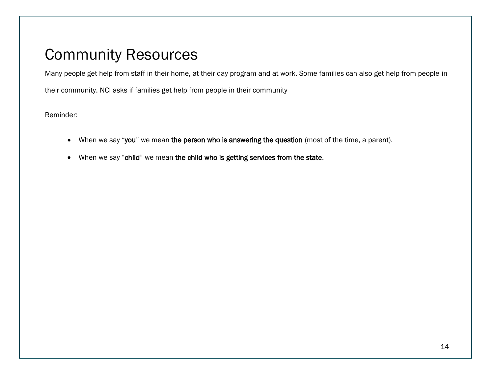#### Community Resources

Many people get help from staff in their home, at their day program and at work. Some families can also get help from people in

their community. NCI asks if families get help from people in their community

Reminder:

- When we say "you" we mean the person who is answering the question (most of the time, a parent).
- When we say "child" we mean the child who is getting services from the state.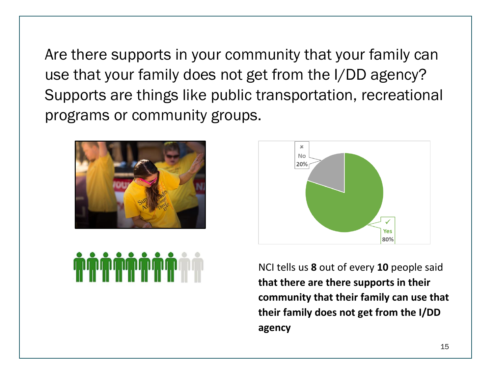Are there supports in your community that your family can use that your family does not get from the I/DD agency? Supports are things like public transportation, recreational programs or community groups.





NCI tells us **8** out of every **10** people said **that there are there supports in their community that their family can use that their family does not get from the I/DD agency**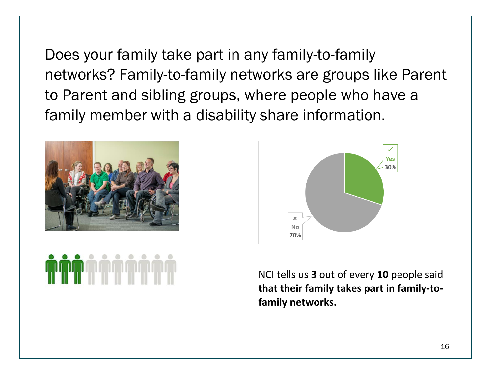Does your family take part in any family-to-family networks? Family-to-family networks are groups like Parent to Parent and sibling groups, where people who have a family member with a disability share information.





NCI tells us **3** out of every **10** people said **that their family takes part in family-tofamily networks.**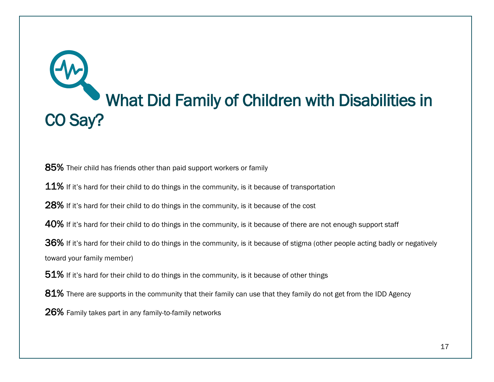# What Did Family of Children with Disabilities in CO Say?

85% Their child has friends other than paid support workers or family

 $11\%$  If it's hard for their child to do things in the community, is it because of transportation

28% If it's hard for their child to do things in the community, is it because of the cost

40% If it's hard for their child to do things in the community, is it because of there are not enough support staff

36% If it's hard for their child to do things in the community, is it because of stigma (other people acting badly or negatively toward your family member)

 $51\%$  If it's hard for their child to do things in the community, is it because of other things

81% There are supports in the community that their family can use that they family do not get from the IDD Agency

26% Family takes part in any family-to-family networks